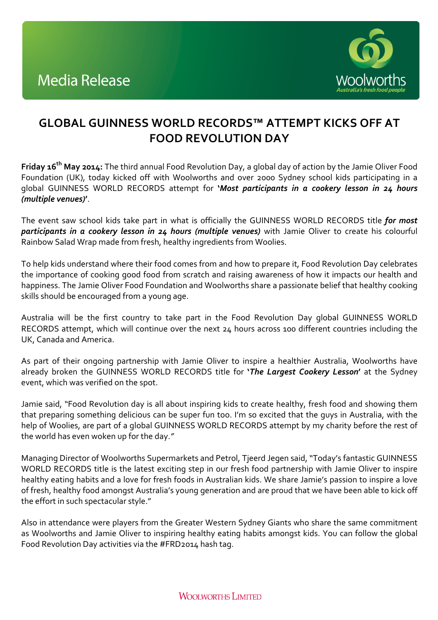

## **GLOBAL GUINNESS WORLD RECORDS™ ATTEMPT KICKS OFF AT FOOD REVOLUTION DAY**

**Friday 16<sup>th</sup> May 2014:** The third annual Food Revolution Day, a global day of action by the Jamie Oliver Food Foundation (UK), today kicked off with Woolworths and over 2000 Sydney school kids participating in a global GUINNESS WORLD RECORDS attempt for **'***Most participants in a cookery lesson in 24 hours (multiple venues)***'**.

The event saw school kids take part in what is officially the GUINNESS WORLD RECORDS title *for most participants in a cookery lesson in 24 hours (multiple venues)* with Jamie Oliver to create his colourful Rainbow Salad Wrap made from fresh, healthy ingredients from Woolies.

To help kids understand where their food comes from and how to prepare it, Food Revolution Day celebrates the importance of cooking good food from scratch and raising awareness of how it impacts our health and happiness. The Jamie Oliver Food Foundation and Woolworths share a passionate belief that healthy cooking skills should be encouraged from a young age.

Australia will be the first country to take part in the Food Revolution Day global GUINNESS WORLD RECORDS attempt, which will continue over the next 24 hours across 100 different countries including the UK, Canada and America.

As part of their ongoing partnership with Jamie Oliver to inspire a healthier Australia, Woolworths have already broken the GUINNESS WORLD RECORDS title for '*The Largest Cookery Lesson'* at the Sydney event, which was verified on the spot.

Jamie said, "Food Revolution day is all about inspiring kids to create healthy, fresh food and showing them that preparing something delicious can be super fun too. I'm so excited that the guys in Australia, with the help of Woolies, are part of a global GUINNESS WORLD RECORDS attempt by my charity before the rest of the world has even woken up for the day."

Managing Director of Woolworths Supermarkets and Petrol, Tjeerd Jegen said, "Today's fantastic GUINNESS WORLD RECORDS title is the latest exciting step in our fresh food partnership with Jamie Oliver to inspire healthy eating habits and a love for fresh foods in Australian kids. We share Jamie's passion to inspire a love of fresh, healthy food amongst Australia's young generation and are proud that we have been able to kick off the effort in such spectacular style."

Also in attendance were players from the Greater Western Sydney Giants who share the same commitment as Woolworths and Jamie Oliver to inspiring healthy eating habits amongst kids. You can follow the global Food Revolution Day activities via the #FRD2014 hash tag.